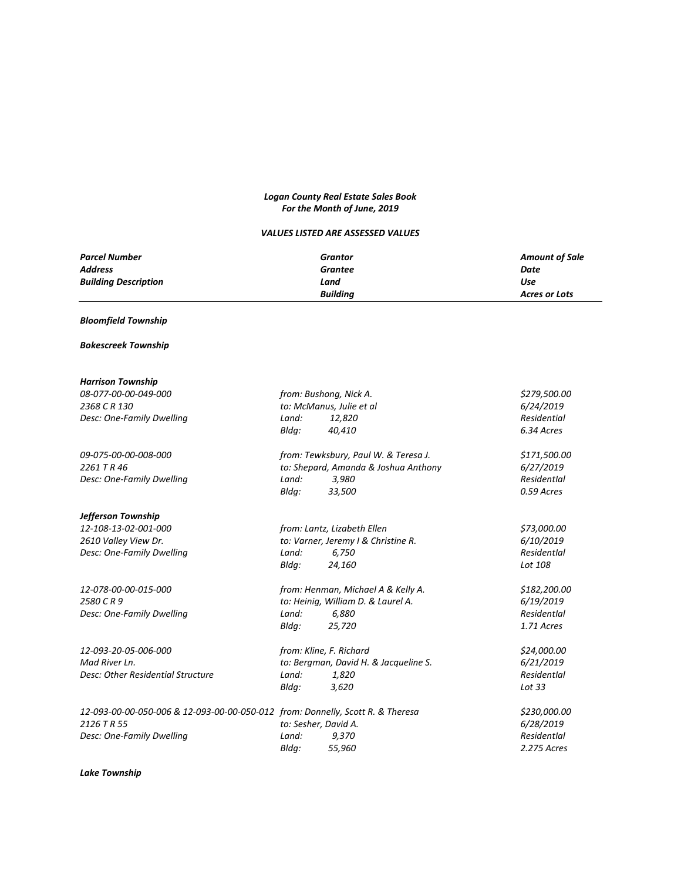#### *Logan County Real Estate Sales Book For the Month of June, 2019*

#### *VALUES LISTED ARE ASSESSED VALUES*

| <b>Parcel Number</b>        | Grantor         | <b>Amount of Sale</b> |
|-----------------------------|-----------------|-----------------------|
| <b>Address</b>              | Grantee         | Date                  |
| <b>Building Description</b> | Land            | Use                   |
|                             | <b>Buildina</b> | Acres or Lots         |

#### *Bloomfield Township*

#### *Bokescreek Township*

| 08-077-00-00-049-000<br>2368 C R 130<br>Desc: One-Family Dwelling                                                          | from: Bushong, Nick A.<br>to: McManus, Julie et al<br>Land:<br>12,820<br>Bldq:<br>40,410                          | \$279,500.00<br>6/24/2019<br>Residential<br>6.34 Acres  |
|----------------------------------------------------------------------------------------------------------------------------|-------------------------------------------------------------------------------------------------------------------|---------------------------------------------------------|
| 09-075-00-00-008-000<br>2261 TR46<br>Desc: One-Family Dwelling                                                             | from: Tewksbury, Paul W. & Teresa J.<br>to: Shepard, Amanda & Joshua Anthony<br>Land:<br>3,980<br>Bldg:<br>33,500 | \$171,500.00<br>6/27/2019<br>ResidentIal<br>0.59 Acres  |
| Jefferson Township<br>12-108-13-02-001-000<br>2610 Valley View Dr.<br>Desc: One-Family Dwelling                            | from: Lantz, Lizabeth Ellen<br>to: Varner, Jeremy I & Christine R.<br>Land:<br>6,750<br>Bldg:<br>24,160           | \$73,000.00<br>6/10/2019<br>ResidentIal<br>Lot 108      |
| 12-078-00-00-015-000<br>2580 CR 9<br>Desc: One-Family Dwelling                                                             | from: Henman, Michael A & Kelly A.<br>to: Heinig, William D. & Laurel A.<br>Land:<br>6,880<br>Bldg:<br>25,720     | \$182,200.00<br>6/19/2019<br>Residentlal<br>1.71 Acres  |
| 12-093-20-05-006-000<br>Mad River Ln.<br>Desc: Other Residential Structure                                                 | from: Kline, F. Richard<br>to: Bergman, David H. & Jacqueline S.<br>Land:<br>1,820<br>Bldq:<br>3,620              | \$24,000.00<br>6/21/2019<br>ResidentIal<br>Lot 33       |
| 12-093-00-00-050-006 & 12-093-00-00-050-012 from: Donnelly, Scott R. & Theresa<br>2126 T R 55<br>Desc: One-Family Dwelling | to: Sesher, David A.<br>Land:<br>9,370<br>55,960<br>Bldg:                                                         | \$230,000.00<br>6/28/2019<br>Residentlal<br>2.275 Acres |

*Lake Township*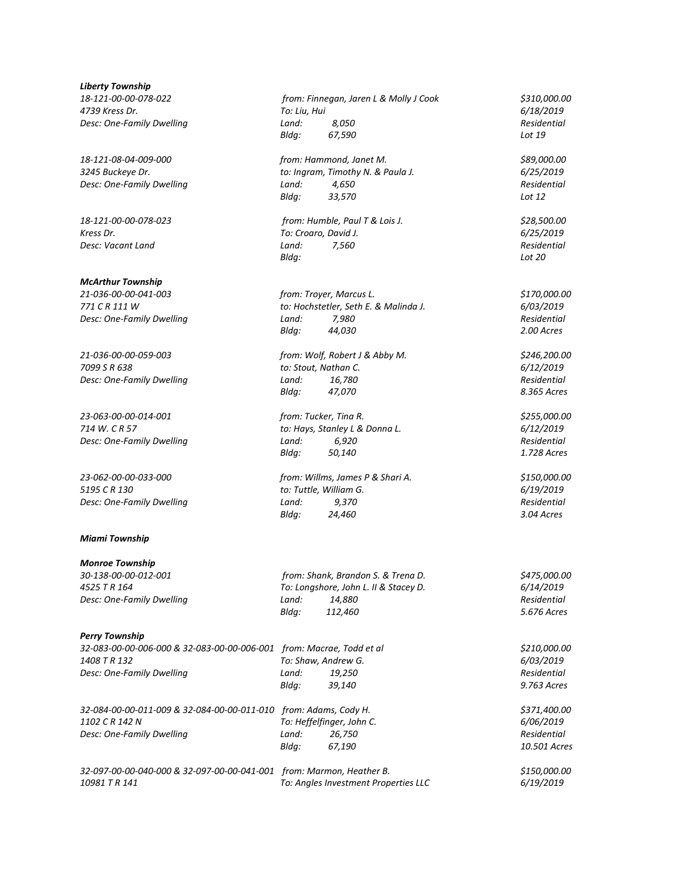*Liberty Township 18-121-00-00-078-022 from: Finnegan, Jaren L & Molly J Cook \$310,000.00*

#### *McArthur Township*

*Desc: One-Family Dwelling Land: 7,980* 

*21-036-00-00-059-003 from: Wolf, Robert J & Abby M. \$246,200.00 Desc: One-Family Dwelling Land: 16,780* 

#### *Miami Township*

*Monroe Township*

#### *Perry Township*

*32-083-00-00-006-000 & 32-083-00-00-006-001 from: Macrae, Todd et al \$210,000.00 1408 T R 132 To: Shaw, Andrew G. 6/03/2019 Desc: One-Family Dwelling Land: 19,250 Residential*

*32-084-00-00-011-009 & 32-084-00-00-011-010 from: Adams, Cody H. \$371,400.00*

*4739 Kress Dr. To: Liu, Hui 6/18/2019 Desc: One-Family Dwelling Land: 8,050 Residential Bldg: 67,590 Lot 19*

18-121-08-04-009-000 *from: Hammond, Janet M.*<br>3245 Buckeye Dr. *\$89,000.00 to: Ingram, Timothy N. & Paula J. \$89,000.00 6/25/2019 3245 Buckeye Dr. to: Ingram, Timothy N. & Paula J. 6/25/2019 Desc: One-Family Dwelling Land: 4,650 Residential Bldg: 33,570 Lot 12*

*18-121-00-00-078-023 from: Humble, Paul T & Lois J. \$28,500.00 Kress Dr. To: Croaro, David J. 6/25/2019 Desc: Vacant Land Land: 7,560 Residential Bldg: Lot 20*

*21-036-00-00-041-003 from: Troyer, Marcus L. \$170,000.00 771 C R 111 W to: Hochstetler, Seth E. & Malinda J. 6/03/2019 Bldg: 44,030 2.00 Acres*

*7099 S R 638 to: Stout, Nathan C. 6/12/2019 Bldg: 47,070 8.365 Acres*

*23-063-00-00-014-001 from: Tucker, Tina R. \$255,000.00 714 W. C R 57 to: Hays, Stanley L & Donna L. 6/12/2019 Desc: One-Family Dwelling Land: 6,920 Residential Bldg: 50,140 1.728 Acres*

*23-062-00-00-033-000 from: Willms, James P & Shari A. \$150,000.00 5195 C R 130 to: Tuttle, William G. 6/19/2019 Desc: One-Family Dwelling Land: 9,370 Residential Bldg: 24,460 3.04 Acres*

*30-138-00-00-012-001 from: Shank, Brandon S. & Trena D. \$475,000.00 4525 T R 164 To: Longshore, John L. II & Stacey D. 6/14/2019 Desc: One-Family Dwelling Land: 14,880 Residential Bldg: 112,460 5.676 Acres*

*Bldg: 39,140 9.763 Acres*

*1102 C R 142 N To: Heffelfinger, John C. 6/06/2019 Desc: One-Family Dwelling Land: 26,750 Residential*

*Bldg: 67,190 10.501 Acres*

*32-097-00-00-040-000 & 32-097-00-00-041-001 from: Marmon, Heather B. \$150,000.00 10981 T R 141 To: Angles Investment Properties LLC 6/19/2019*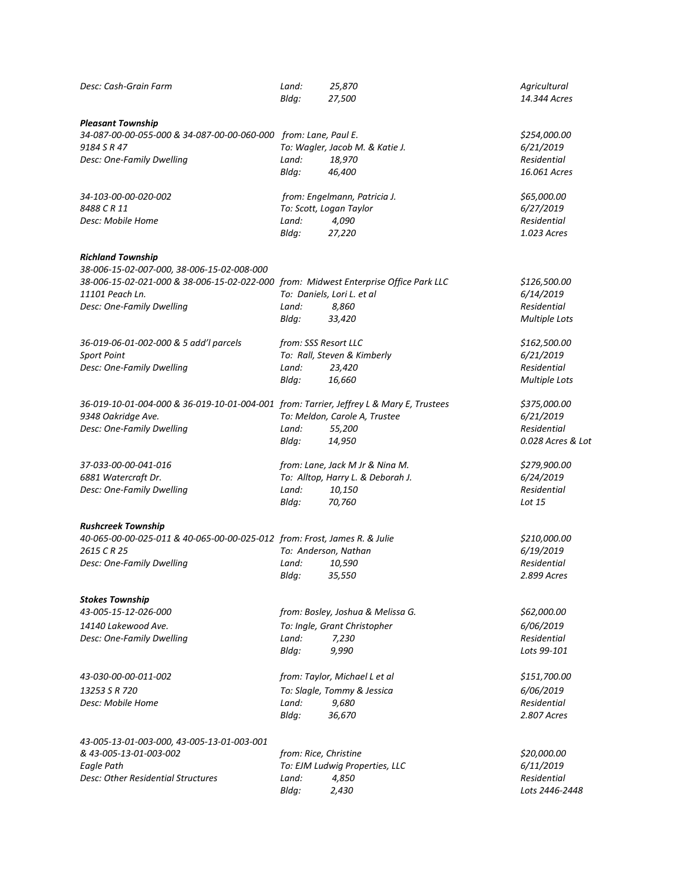| Desc: Cash-Grain Farm                                                                                  | Land:<br>Bldg:        | 25,870<br>27,500                        | Agricultural<br>14.344 Acres |
|--------------------------------------------------------------------------------------------------------|-----------------------|-----------------------------------------|------------------------------|
| <b>Pleasant Township</b><br>34-087-00-00-055-000 & 34-087-00-00-060-000 from: Lane, Paul E.            |                       |                                         | \$254,000.00                 |
| 9184 S R 47                                                                                            |                       | To: Wagler, Jacob M. & Katie J.         | 6/21/2019                    |
| Desc: One-Family Dwelling                                                                              | Land:                 | 18,970                                  | Residential                  |
|                                                                                                        | Bldg:                 | 46,400                                  | 16.061 Acres                 |
| 34-103-00-00-020-002                                                                                   |                       | from: Engelmann, Patricia J.            | \$65,000.00                  |
| 8488 C R 11                                                                                            |                       | To: Scott, Logan Taylor                 | 6/27/2019                    |
| Desc: Mobile Home                                                                                      | Land:<br>Bldg:        | 4,090<br>27,220                         | Residential<br>1.023 Acres   |
|                                                                                                        |                       |                                         |                              |
| <b>Richland Township</b><br>38-006-15-02-007-000, 38-006-15-02-008-000                                 |                       |                                         |                              |
| 38-006-15-02-021-000 & 38-006-15-02-022-000 from: Midwest Enterprise Office Park LLC                   |                       |                                         | \$126,500.00                 |
| 11101 Peach Ln.                                                                                        |                       | To: Daniels, Lori L. et al              | 6/14/2019                    |
| Desc: One-Family Dwelling                                                                              | Land:                 | 8,860                                   | Residential                  |
|                                                                                                        | Bldg:                 | 33,420                                  | <b>Multiple Lots</b>         |
|                                                                                                        |                       |                                         |                              |
| 36-019-06-01-002-000 & 5 add'l parcels                                                                 | from: SSS Resort LLC  |                                         | \$162,500.00                 |
| <b>Sport Point</b>                                                                                     |                       | To: Rall, Steven & Kimberly             | 6/21/2019                    |
| Desc: One-Family Dwelling                                                                              | Land:<br>Bldg:        | 23,420<br>16,660                        | Residential                  |
|                                                                                                        |                       |                                         | <b>Multiple Lots</b>         |
| 36-019-10-01-004-000 & 36-019-10-01-004-001 from: Tarrier, Jeffrey L & Mary E, Trustees                |                       |                                         | \$375,000.00                 |
| 9348 Oakridge Ave.                                                                                     |                       | To: Meldon, Carole A, Trustee           | 6/21/2019                    |
| Desc: One-Family Dwelling                                                                              | Land:                 | 55,200                                  | Residential                  |
|                                                                                                        | Bldg:                 | 14,950                                  | 0.028 Acres & Lot            |
| 37-033-00-00-041-016                                                                                   |                       | from: Lane, Jack M Jr & Nina M.         | \$279,900.00                 |
| 6881 Watercraft Dr.                                                                                    |                       | To: Alltop, Harry L. & Deborah J.       | 6/24/2019                    |
| Desc: One-Family Dwelling                                                                              | Land:                 | 10,150                                  | Residential                  |
|                                                                                                        | Bldg:                 | 70,760                                  | Lot 15                       |
|                                                                                                        |                       |                                         |                              |
| <b>Rushcreek Township</b><br>40-065-00-00-025-011 & 40-065-00-00-025-012 from: Frost, James R. & Julie |                       |                                         | \$210,000.00                 |
| 2615 CR 25                                                                                             |                       | To: Anderson, Nathan                    | 6/19/2019                    |
| Desc: One-Family Dwelling                                                                              | Land:                 | 10,590                                  | Residential                  |
|                                                                                                        | Bldg:                 | 35,550                                  | 2.899 Acres                  |
|                                                                                                        |                       |                                         |                              |
| <b>Stokes Township</b><br>43-005-15-12-026-000                                                         |                       |                                         |                              |
|                                                                                                        |                       | from: Bosley, Joshua & Melissa G.       | \$62,000.00                  |
| 14140 Lakewood Ave.                                                                                    |                       | To: Ingle, Grant Christopher            | 6/06/2019                    |
| Desc: One-Family Dwelling                                                                              | Land:                 | 7,230                                   | Residential                  |
|                                                                                                        | Bldg:                 | 9,990                                   | Lots 99-101                  |
| 43-030-00-00-011-002                                                                                   |                       | from: Taylor, Michael L et al           | \$151,700.00                 |
| 13253 S R 720                                                                                          |                       | To: Slagle, Tommy & Jessica             | 6/06/2019                    |
| Desc: Mobile Home                                                                                      | Land:                 | 9,680                                   | Residential                  |
|                                                                                                        | Bldg:                 | 36,670                                  | 2.807 Acres                  |
|                                                                                                        |                       |                                         |                              |
| 43-005-13-01-003-000, 43-005-13-01-003-001                                                             |                       |                                         |                              |
| & 43-005-13-01-003-002                                                                                 | from: Rice, Christine |                                         | \$20,000.00                  |
| Eagle Path<br>Desc: Other Residential Structures                                                       | Land:                 | To: EJM Ludwig Properties, LLC<br>4,850 | 6/11/2019<br>Residential     |
|                                                                                                        | Bldg:                 | 2,430                                   | Lots 2446-2448               |
|                                                                                                        |                       |                                         |                              |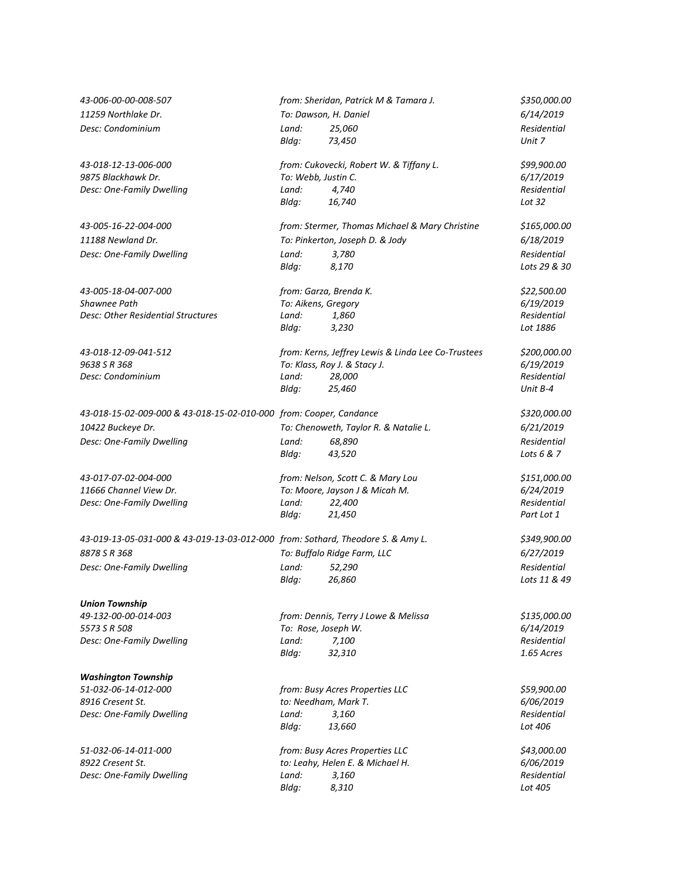| 43-006-00-00-008-507                                                            | from: Sheridan, Patrick M & Tamara J. |                                                    | \$350,000.00       |
|---------------------------------------------------------------------------------|---------------------------------------|----------------------------------------------------|--------------------|
| 11259 Northlake Dr.                                                             |                                       | To: Dawson, H. Daniel                              | 6/14/2019          |
| Desc: Condominium                                                               | Land:                                 | 25,060                                             | Residential        |
|                                                                                 | Bldg:                                 | 73,450                                             | Unit 7             |
| 43-018-12-13-006-000                                                            |                                       | from: Cukovecki, Robert W. & Tiffany L.            | \$99,900.00        |
| 9875 Blackhawk Dr.                                                              | To: Webb, Justin C.                   |                                                    | 6/17/2019          |
| Desc: One-Family Dwelling                                                       | Land:                                 | 4,740                                              | Residential        |
|                                                                                 | Bldg:                                 | 16,740                                             | Lot $32$           |
| 43-005-16-22-004-000                                                            |                                       | from: Stermer, Thomas Michael & Mary Christine     | \$165,000.00       |
| 11188 Newland Dr.                                                               |                                       | To: Pinkerton, Joseph D. & Jody                    | 6/18/2019          |
| Desc: One-Family Dwelling                                                       | Land:                                 | 3,780                                              | Residential        |
|                                                                                 | Bldg:                                 | 8,170                                              | Lots 29 & 30       |
| 43-005-18-04-007-000                                                            |                                       | from: Garza, Brenda K.                             | \$22,500.00        |
| Shawnee Path                                                                    | To: Aikens, Gregory                   |                                                    | 6/19/2019          |
| Desc: Other Residential Structures                                              | Land:                                 | 1,860                                              | Residential        |
|                                                                                 | Bldg:                                 | 3,230                                              | Lot 1886           |
| 43-018-12-09-041-512                                                            |                                       | from: Kerns, Jeffrey Lewis & Linda Lee Co-Trustees | \$200,000.00       |
| 9638 S R 368                                                                    |                                       | To: Klass, Roy J. & Stacy J.                       | 6/19/2019          |
| Desc: Condominium                                                               | Land:                                 | 28,000                                             | <b>Residential</b> |
|                                                                                 | Bldg:                                 | 25,460                                             | Unit B-4           |
| 43-018-15-02-009-000 & 43-018-15-02-010-000 from: Cooper, Candance              |                                       |                                                    | \$320,000.00       |
| 10422 Buckeye Dr.                                                               |                                       | To: Chenoweth, Taylor R. & Natalie L.              | 6/21/2019          |
| Desc: One-Family Dwelling                                                       | Land:                                 | 68,890                                             | Residential        |
|                                                                                 | Bldq:                                 | 43,520                                             | Lots 6 & 7         |
| 43-017-07-02-004-000                                                            |                                       | from: Nelson, Scott C. & Mary Lou                  | \$151,000.00       |
| 11666 Channel View Dr.                                                          |                                       | To: Moore, Jayson J & Micah M.                     | 6/24/2019          |
| Desc: One-Family Dwelling                                                       | Land:                                 | 22,400                                             | Residential        |
|                                                                                 | Bldg:                                 | 21,450                                             | Part Lot 1         |
| 43-019-13-05-031-000 & 43-019-13-03-012-000 from: Sothard, Theodore S. & Amy L. |                                       |                                                    | \$349,900.00       |
| 8878 S R 368                                                                    | To: Buffalo Ridge Farm, LLC           |                                                    | 6/27/2019          |
| Desc: One-Family Dwelling                                                       | Land:                                 | 52,290                                             | Residential        |
|                                                                                 | Bldg:                                 | 26,860                                             | Lots 11 & 49       |
| <b>Union Township</b>                                                           |                                       |                                                    |                    |
| 49-132-00-00-014-003                                                            |                                       | from: Dennis, Terry J Lowe & Melissa               | \$135,000.00       |
| 5573 S R 508                                                                    | To: Rose, Joseph W.                   |                                                    | 6/14/2019          |
| Desc: One-Family Dwelling                                                       | Land:                                 | 7,100                                              | Residential        |
|                                                                                 | Bldg:                                 | 32,310                                             | 1.65 Acres         |
| <b>Washington Township</b>                                                      |                                       |                                                    |                    |
| 51-032-06-14-012-000                                                            |                                       | from: Busy Acres Properties LLC                    | \$59,900.00        |
| 8916 Cresent St.                                                                |                                       | to: Needham, Mark T.                               | 6/06/2019          |
| Desc: One-Family Dwelling                                                       | Land:                                 | 3,160                                              | <b>Residential</b> |
|                                                                                 | Bldg:                                 | 13,660                                             | Lot 406            |
| 51-032-06-14-011-000                                                            |                                       | from: Busy Acres Properties LLC                    | \$43,000.00        |
| 8922 Cresent St.                                                                | to: Leahy, Helen E. & Michael H.      |                                                    | 6/06/2019          |
| Desc: One-Family Dwelling                                                       | Land:                                 | 3,160                                              | Residential        |
|                                                                                 | Bldg:                                 | 8,310                                              | Lot 405            |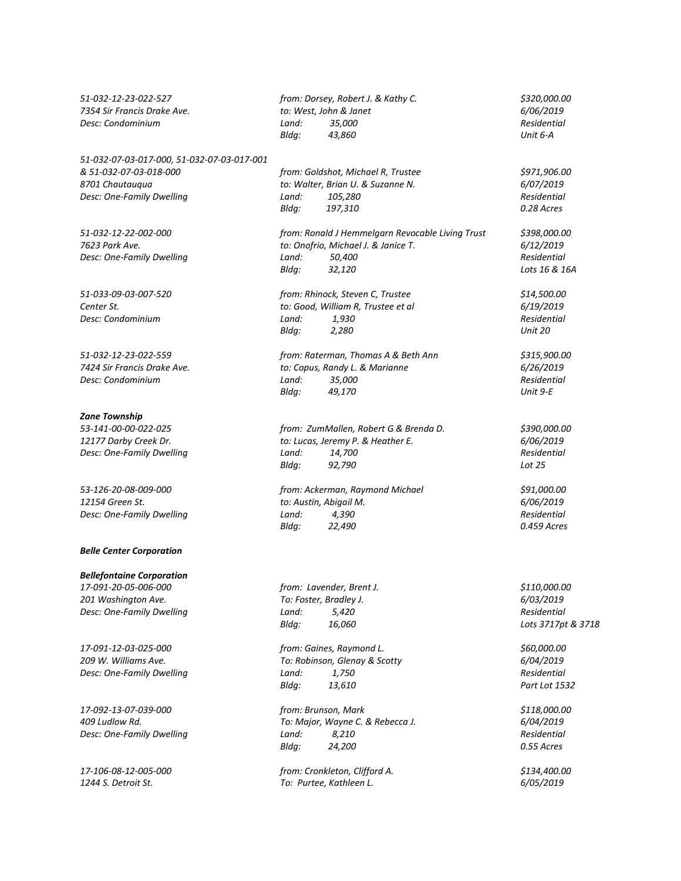*51-032-07-03-017-000, 51-032-07-03-017-001 8701 Chautauqua to: Walter, Brian U. & Suzanne N. 6/07/2019 Desc: One-Family Dwelling Land: 105,280 Residential*

#### *Zane Township*

*Desc: One-Family Dwelling Land: 14,700* 

#### *Belle Center Corporation*

*Bellefontaine Corporation 17-091-20-05-006-000 from: Lavender, Brent J. \$110,000.00 201 Washington Ave. To: Foster, Bradley J. 6/03/2019*

*17-091-12-03-025-000 from: Gaines, Raymond L. \$60,000.00*

*51-032-12-23-022-527 from: Dorsey, Robert J. & Kathy C. \$320,000.00 7354 Sir Francis Drake Ave. to: West, John & Janet 6/06/2019 Desc: Condominium Land: 35,000 Residential Bldg: 43,860 Unit 6-A*

> *& 51-032-07-03-018-000 from: Goldshot, Michael R, Trustee \$971,906.00 Bldg: 197,310 0.28 Acres*

*51-032-12-22-002-000 from: Ronald J Hemmelgarn Revocable Living Trust \$398,000.00 7623 Park Ave. to: Onofrio, Michael J. & Janice T. 6/12/2019 Desc: One-Family Dwelling Land: 50,400 Residential Bldg: 32,120 Lots 16 & 16A*

*51-033-09-03-007-520 from: Rhinock, Steven C, Trustee \$14,500.00 Center St. to: Good, William R, Trustee et al 6/19/2019 Desc: Condominium Land: 1,930 Residential Bldg: 2,280 Unit 20*

*51-032-12-23-022-559 from: Raterman, Thomas A & Beth Ann \$315,900.00 7424 Sir Francis Drake Ave. to: Copus, Randy L. & Marianne 6/26/2019 Desc: Condominium Land: 35,000 Residential Bldg:* 49,170

*53-141-00-00-022-025 from: ZumMallen, Robert G & Brenda D. \$390,000.00 12177 Darby Creek Dr. to: Lucas, Jeremy P. & Heather E. 6/06/2019 Bldg: 92,790 Lot 25*

*53-126-20-08-009-000 from: Ackerman, Raymond Michael \$91,000.00 12154 Green St. to: Austin, Abigail M. 6/06/2019 Desc: One-Family Dwelling Land: 4,390 Residential Bldg: 22,490 0.459 Acres*

*Desc: One-Family Dwelling Land: 5,420 Residential Bldg: 16,060 Lots 3717pt & 3718*

*209 W. Williams Ave. To: Robinson, Glenay & Scotty 6/04/2019 Desc: One-Family Dwelling Land: 1,750 Residential Bldg: 13,610 Part Lot 1532*

*17-092-13-07-039-000 from: Brunson, Mark \$118,000.00 409 Ludlow Rd. To: Major, Wayne C. & Rebecca J. 6/04/2019 Desc: One-Family Dwelling Land: 8,210 Residential Bldg: 24,200 0.55 Acres*

*17-106-08-12-005-000 from: Cronkleton, Clifford A. \$134,400.00 1244 S. Detroit St. To: Purtee, Kathleen L. 6/05/2019*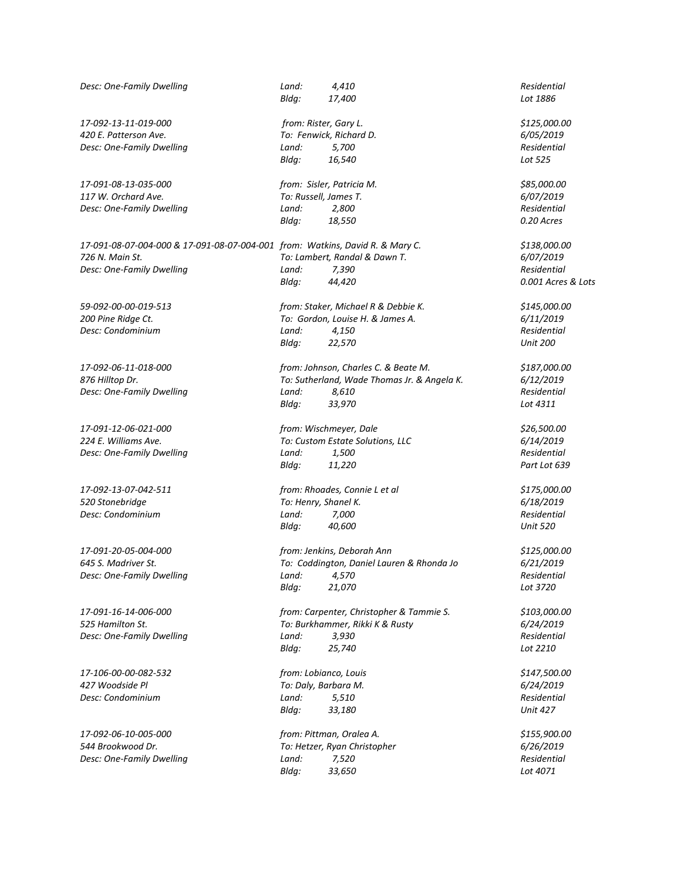| Desc: One-Family Dwelling                                                     | Land:<br>Bldg: | 4,410<br>17,400                             | Residential<br>Lot 1886 |
|-------------------------------------------------------------------------------|----------------|---------------------------------------------|-------------------------|
|                                                                               |                |                                             |                         |
| 17-092-13-11-019-000                                                          |                | from: Rister, Gary L.                       | \$125,000.00            |
| 420 E. Patterson Ave.                                                         |                | To: Fenwick, Richard D.                     | 6/05/2019               |
| Desc: One-Family Dwelling                                                     | Land:          | 5,700                                       | Residential             |
|                                                                               | Bldg:          | 16,540                                      | Lot 525                 |
| 17-091-08-13-035-000                                                          |                | from: Sisler, Patricia M.                   | \$85,000.00             |
| 117 W. Orchard Ave.                                                           |                | To: Russell, James T.                       | 6/07/2019               |
| Desc: One-Family Dwelling                                                     | Land:          | 2,800                                       | Residential             |
|                                                                               | Bldg:          | 18,550                                      | 0.20 Acres              |
| 17-091-08-07-004-000 & 17-091-08-07-004-001 from: Watkins, David R. & Mary C. |                |                                             | \$138,000.00            |
| 726 N. Main St.                                                               |                | To: Lambert, Randal & Dawn T.               | 6/07/2019               |
| Desc: One-Family Dwelling                                                     | Land:          | 7,390                                       | Residential             |
|                                                                               | Bldg:          | 44,420                                      | 0.001 Acres & Lots      |
| 59-092-00-00-019-513                                                          |                | from: Staker, Michael R & Debbie K.         | \$145,000.00            |
| 200 Pine Ridge Ct.                                                            |                | To: Gordon, Louise H. & James A.            | 6/11/2019               |
| Desc: Condominium                                                             | Land:          | 4,150                                       | Residential             |
|                                                                               | Bldg:          | 22,570                                      | <b>Unit 200</b>         |
|                                                                               |                |                                             |                         |
| 17-092-06-11-018-000                                                          |                | from: Johnson, Charles C. & Beate M.        | \$187,000.00            |
| 876 Hilltop Dr.                                                               |                | To: Sutherland, Wade Thomas Jr. & Angela K. | 6/12/2019               |
| Desc: One-Family Dwelling                                                     | Land:          | 8,610                                       | Residential             |
|                                                                               | Bldg:          | 33,970                                      | Lot 4311                |
| 17-091-12-06-021-000                                                          |                | from: Wischmeyer, Dale                      | \$26,500.00             |
| 224 E. Williams Ave.                                                          |                | To: Custom Estate Solutions, LLC            | 6/14/2019               |
| Desc: One-Family Dwelling                                                     | Land:          | 1,500                                       | Residential             |
|                                                                               | Bldg:          | 11,220                                      | Part Lot 639            |
| 17-092-13-07-042-511                                                          |                | from: Rhoades, Connie L et al               | \$175,000.00            |
| 520 Stonebridge                                                               |                | To: Henry, Shanel K.                        | 6/18/2019               |
| Desc: Condominium                                                             | Land:          | 7,000                                       | Residential             |
|                                                                               | Bldg:          | 40,600                                      | <b>Unit 520</b>         |
| 17-091-20-05-004-000                                                          |                | from: Jenkins, Deborah Ann                  | \$125,000.00            |
| 645 S. Madriver St.                                                           |                | To: Coddington, Daniel Lauren & Rhonda Jo   | 6/21/2019               |
| Desc: One-Family Dwelling                                                     |                | Land: 4,570                                 | Residential             |
|                                                                               | Bldg:          | 21,070                                      | Lot 3720                |
| 17-091-16-14-006-000                                                          |                | from: Carpenter, Christopher & Tammie S.    | \$103,000.00            |
| 525 Hamilton St.                                                              |                | To: Burkhammer, Rikki K & Rusty             | 6/24/2019               |
| Desc: One-Family Dwelling                                                     | Land:          | 3,930                                       | Residential             |
|                                                                               | Bldg:          | 25,740                                      | Lot 2210                |
| 17-106-00-00-082-532                                                          |                | from: Lobianco, Louis                       | \$147,500.00            |
| 427 Woodside Pl                                                               |                | To: Daly, Barbara M.                        | 6/24/2019               |
| Desc: Condominium                                                             | Land:          | 5,510                                       | Residential             |
|                                                                               | Bldg:          | 33,180                                      | <b>Unit 427</b>         |
| 17-092-06-10-005-000                                                          |                | from: Pittman, Oralea A.                    | \$155,900.00            |
| 544 Brookwood Dr.                                                             |                | To: Hetzer, Ryan Christopher                | 6/26/2019               |
| Desc: One-Family Dwelling                                                     | Land:          | 7,520                                       | Residential             |
|                                                                               | Bldg:          | 33,650                                      | Lot 4071                |
|                                                                               |                |                                             |                         |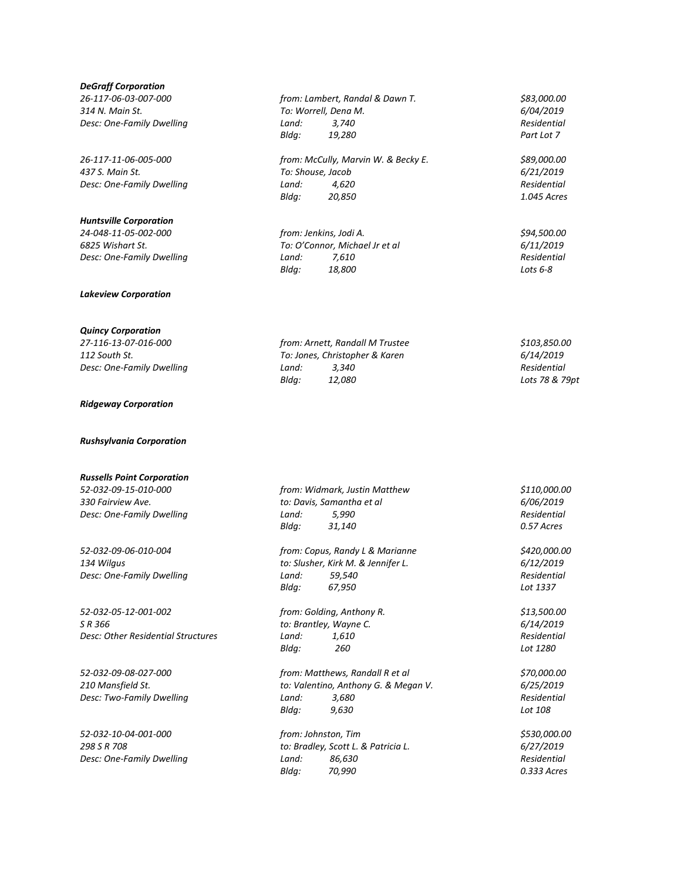### *DeGraff Corporation*

## *Huntsville Corporation*

*Lakeview Corporation*

## *Quincy Corporation*

#### *Ridgeway Corporation*

*Rushsylvania Corporation*

# *Russells Point Corporation*

*52-032-05-12-001-002 from: Golding, Anthony R. \$13,500.00 Desc: Other Residential Structures Land: 1,610 Residential*

*Desc: Two-Family Dwelling Land: 3,680* 

*Desc: One-Family Dwelling Land: 86,630* 

*26-117-06-03-007-000 from: Lambert, Randal & Dawn T. \$83,000.00 314 N. Main St. To: Worrell, Dena M. 6/04/2019 Desc: One-Family Dwelling Land: 3,740 Residential Bldg: 19,280 Part Lot 7*

*26-117-11-06-005-000 from: McCully, Marvin W. & Becky E. \$89,000.00 437 S. Main St. To: Shouse, Jacob 6/21/2019 Desc: One-Family Dwelling Land: 4,620 Residential Bldg: 20,850 1.045 Acres*

*24-048-11-05-002-000 from: Jenkins, Jodi A. \$94,500.00 6825 Wishart St. To: O'Connor, Michael Jr et al 6/11/2019 Desc: One-Family Dwelling Land: 7,610 Residential Bldg: 18,800 Lots 6-8*

*27-116-13-07-016-000 from: Arnett, Randall M Trustee \$103,850.00 112 South St. To: Jones, Christopher & Karen 6/14/2019 Desc: One-Family Dwelling Land: 3,340 Residential Bldg: 12,080 Lots 78 & 79pt*

*52-032-09-15-010-000 from: Widmark, Justin Matthew \$110,000.00 330 Fairview Ave. to: Davis, Samantha et al 6/06/2019 Desc: One-Family Dwelling Land: 5,990 Residential Bldg: 31,140 0.57 Acres*

*52-032-09-06-010-004 from: Copus, Randy L & Marianne \$420,000.00 134 Wilgus to: Slusher, Kirk M. & Jennifer L. 6/12/2019 Desc: One-Family Dwelling Land: 59,540 Residential Bldg: 67,950 Lot 1337*

> *to: Brantley, Wayne C. Bldg: 260 Lot 1280*

*52-032-09-08-027-000 from: Matthews, Randall R et al \$70,000.00 210 Mansfield St. to: Valentino, Anthony G. & Megan V. 6/25/2019 Bldg: 9,630 Lot 108*

*52-032-10-04-001-000 from: Johnston, Tim \$530,000.00 298 S R 708 to: Bradley, Scott L. & Patricia L. 6/27/2019 Bldg: 70,990 0.333 Acres*